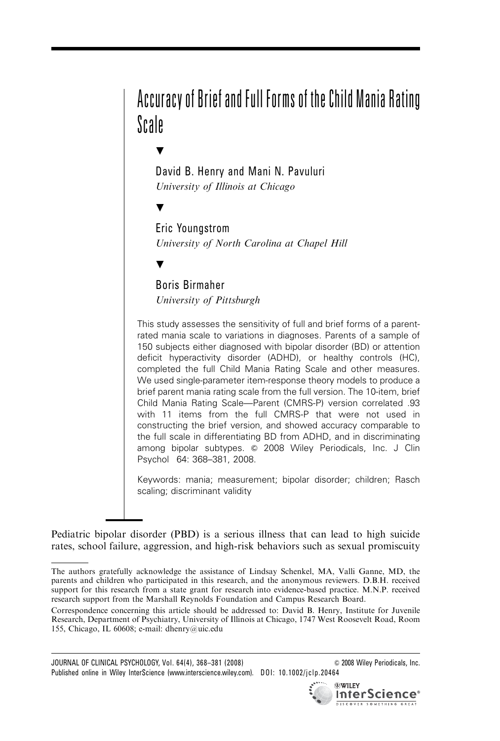# Accuracyof Briefand Full Formsof theChild Mania Rating Scale

David B. Henry and Mani N. Pavuluri University of Illinois at Chicago

Eric Youngstrom University of North Carolina at Chapel Hill

 $\blacksquare$ 

 $\blacktriangledown$ 

 $\blacktriangledown$ 

Boris Birmaher University of Pittsburgh

This study assesses the sensitivity of full and brief forms of a parentrated mania scale to variations in diagnoses. Parents of a sample of 150 subjects either diagnosed with bipolar disorder (BD) or attention deficit hyperactivity disorder (ADHD), or healthy controls (HC), completed the full Child Mania Rating Scale and other measures. We used single-parameter item-response theory models to produce a brief parent mania rating scale from the full version. The 10-item, brief Child Mania Rating Scale—Parent (CMRS-P) version correlated .93 with 11 items from the full CMRS-P that were not used in constructing the brief version, and showed accuracy comparable to the full scale in differentiating BD from ADHD, and in discriminating among bipolar subtypes. © 2008 Wiley Periodicals, Inc. J Clin Psychol 64: 368–381, 2008.

Keywords: mania; measurement; bipolar disorder; children; Rasch scaling; discriminant validity

Pediatric bipolar disorder (PBD) is a serious illness that can lead to high suicide rates, school failure, aggression, and high-risk behaviors such as sexual promiscuity



The authors gratefully acknowledge the assistance of Lindsay Schenkel, MA, Valli Ganne, MD, the parents and children who participated in this research, and the anonymous reviewers. D.B.H. received support for this research from a state grant for research into evidence-based practice. M.N.P. received research support from the Marshall Reynolds Foundation and Campus Research Board.

Correspondence concerning this article should be addressed to: David B. Henry, Institute for Juvenile Research, Department of Psychiatry, University of Illinois at Chicago, 1747 West Roosevelt Road, Room 155, Chicago, IL 60608; e-mail: dhenry@uic.edu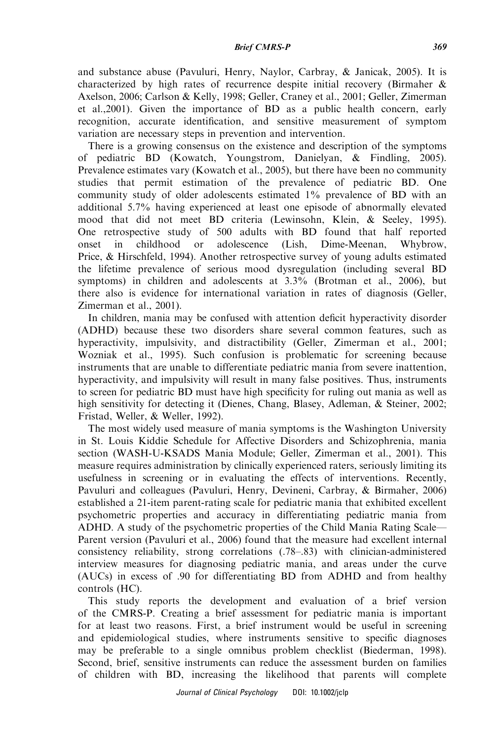and substance abuse (Pavuluri, Henry, Naylor, Carbray, & Janicak, 2005). It is characterized by high rates of recurrence despite initial recovery (Birmaher & Axelson, 2006; Carlson & Kelly, 1998; Geller, Craney et al., 2001; Geller, Zimerman et al.,2001). Given the importance of BD as a public health concern, early recognition, accurate identification, and sensitive measurement of symptom variation are necessary steps in prevention and intervention.

There is a growing consensus on the existence and description of the symptoms of pediatric BD (Kowatch, Youngstrom, Danielyan, & Findling, 2005). Prevalence estimates vary (Kowatch et al., 2005), but there have been no community studies that permit estimation of the prevalence of pediatric BD. One community study of older adolescents estimated 1% prevalence of BD with an additional 5.7% having experienced at least one episode of abnormally elevated mood that did not meet BD criteria (Lewinsohn, Klein, & Seeley, 1995). One retrospective study of 500 adults with BD found that half reported onset in childhood or adolescence (Lish, Dime-Meenan, Whybrow, Price, & Hirschfeld, 1994). Another retrospective survey of young adults estimated the lifetime prevalence of serious mood dysregulation (including several BD symptoms) in children and adolescents at 3.3% (Brotman et al., 2006), but there also is evidence for international variation in rates of diagnosis (Geller, Zimerman et al., 2001).

In children, mania may be confused with attention deficit hyperactivity disorder (ADHD) because these two disorders share several common features, such as hyperactivity, impulsivity, and distractibility (Geller, Zimerman et al., 2001; Wozniak et al., 1995). Such confusion is problematic for screening because instruments that are unable to differentiate pediatric mania from severe inattention, hyperactivity, and impulsivity will result in many false positives. Thus, instruments to screen for pediatric BD must have high specificity for ruling out mania as well as high sensitivity for detecting it (Dienes, Chang, Blasey, Adleman, & Steiner, 2002; Fristad, Weller, & Weller, 1992).

The most widely used measure of mania symptoms is the Washington University in St. Louis Kiddie Schedule for Affective Disorders and Schizophrenia, mania section (WASH-U-KSADS Mania Module; Geller, Zimerman et al., 2001). This measure requires administration by clinically experienced raters, seriously limiting its usefulness in screening or in evaluating the effects of interventions. Recently, Pavuluri and colleagues (Pavuluri, Henry, Devineni, Carbray, & Birmaher, 2006) established a 21-item parent-rating scale for pediatric mania that exhibited excellent psychometric properties and accuracy in differentiating pediatric mania from ADHD. A study of the psychometric properties of the Child Mania Rating Scale— Parent version (Pavuluri et al., 2006) found that the measure had excellent internal consistency reliability, strong correlations (.78–.83) with clinician-administered interview measures for diagnosing pediatric mania, and areas under the curve (AUCs) in excess of .90 for differentiating BD from ADHD and from healthy controls (HC).

This study reports the development and evaluation of a brief version of the CMRS-P. Creating a brief assessment for pediatric mania is important for at least two reasons. First, a brief instrument would be useful in screening and epidemiological studies, where instruments sensitive to specific diagnoses may be preferable to a single omnibus problem checklist (Biederman, 1998). Second, brief, sensitive instruments can reduce the assessment burden on families of children with BD, increasing the likelihood that parents will complete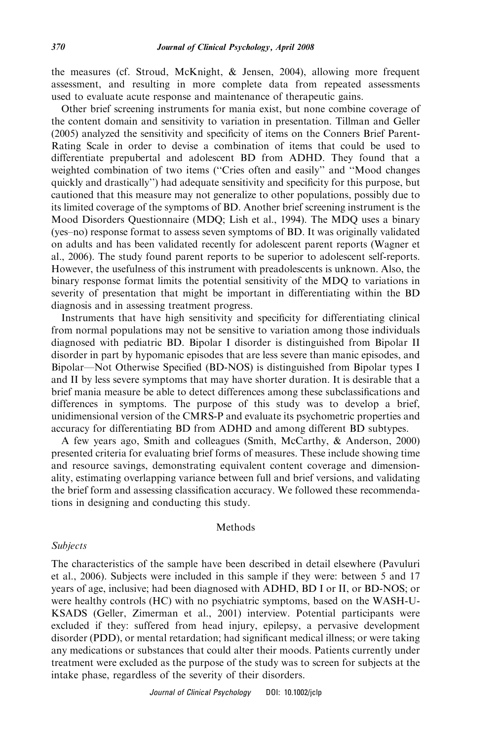the measures (cf. Stroud, McKnight, & Jensen, 2004), allowing more frequent assessment, and resulting in more complete data from repeated assessments used to evaluate acute response and maintenance of therapeutic gains.

Other brief screening instruments for mania exist, but none combine coverage of the content domain and sensitivity to variation in presentation. Tillman and Geller (2005) analyzed the sensitivity and specificity of items on the Conners Brief Parent-Rating Scale in order to devise a combination of items that could be used to differentiate prepubertal and adolescent BD from ADHD. They found that a weighted combination of two items (''Cries often and easily'' and ''Mood changes quickly and drastically'') had adequate sensitivity and specificity for this purpose, but cautioned that this measure may not generalize to other populations, possibly due to its limited coverage of the symptoms of BD. Another brief screening instrument is the Mood Disorders Questionnaire (MDQ; Lish et al., 1994). The MDQ uses a binary (yes–no) response format to assess seven symptoms of BD. It was originally validated on adults and has been validated recently for adolescent parent reports (Wagner et al., 2006). The study found parent reports to be superior to adolescent self-reports. However, the usefulness of this instrument with preadolescents is unknown. Also, the binary response format limits the potential sensitivity of the MDQ to variations in severity of presentation that might be important in differentiating within the BD diagnosis and in assessing treatment progress.

Instruments that have high sensitivity and specificity for differentiating clinical from normal populations may not be sensitive to variation among those individuals diagnosed with pediatric BD. Bipolar I disorder is distinguished from Bipolar II disorder in part by hypomanic episodes that are less severe than manic episodes, and Bipolar—Not Otherwise Specified (BD-NOS) is distinguished from Bipolar types I and II by less severe symptoms that may have shorter duration. It is desirable that a brief mania measure be able to detect differences among these subclassifications and differences in symptoms. The purpose of this study was to develop a brief, unidimensional version of the CMRS-P and evaluate its psychometric properties and accuracy for differentiating BD from ADHD and among different BD subtypes.

A few years ago, Smith and colleagues (Smith, McCarthy, & Anderson, 2000) presented criteria for evaluating brief forms of measures. These include showing time and resource savings, demonstrating equivalent content coverage and dimensionality, estimating overlapping variance between full and brief versions, and validating the brief form and assessing classification accuracy. We followed these recommendations in designing and conducting this study.

#### **Methods**

## Subjects

The characteristics of the sample have been described in detail elsewhere (Pavuluri et al., 2006). Subjects were included in this sample if they were: between 5 and 17 years of age, inclusive; had been diagnosed with ADHD, BD I or II, or BD-NOS; or were healthy controls (HC) with no psychiatric symptoms, based on the WASH-U-KSADS (Geller, Zimerman et al., 2001) interview. Potential participants were excluded if they: suffered from head injury, epilepsy, a pervasive development disorder (PDD), or mental retardation; had significant medical illness; or were taking any medications or substances that could alter their moods. Patients currently under treatment were excluded as the purpose of the study was to screen for subjects at the intake phase, regardless of the severity of their disorders.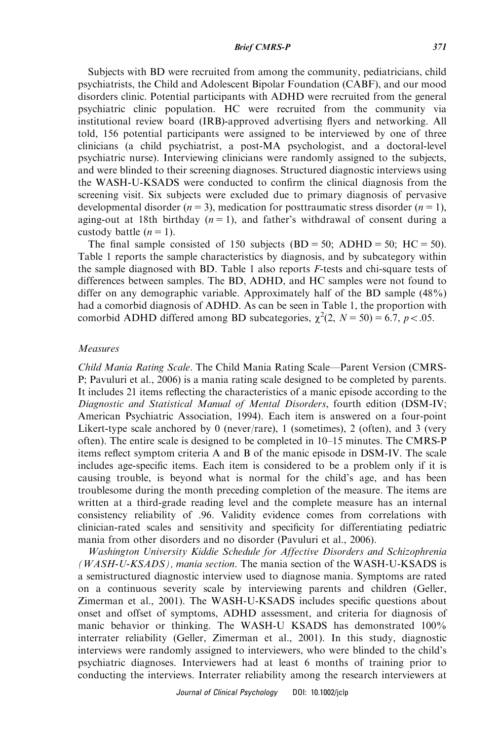Subjects with BD were recruited from among the community, pediatricians, child psychiatrists, the Child and Adolescent Bipolar Foundation (CABF), and our mood disorders clinic. Potential participants with ADHD were recruited from the general psychiatric clinic population. HC were recruited from the community via institutional review board (IRB)-approved advertising flyers and networking. All told, 156 potential participants were assigned to be interviewed by one of three clinicians (a child psychiatrist, a post-MA psychologist, and a doctoral-level psychiatric nurse). Interviewing clinicians were randomly assigned to the subjects, and were blinded to their screening diagnoses. Structured diagnostic interviews using the WASH-U-KSADS were conducted to confirm the clinical diagnosis from the screening visit. Six subjects were excluded due to primary diagnosis of pervasive developmental disorder ( $n = 3$ ), medication for posttraumatic stress disorder ( $n = 1$ ), aging-out at 18th birthday  $(n = 1)$ , and father's withdrawal of consent during a custody battle  $(n = 1)$ .

The final sample consisted of 150 subjects  $(BD = 50; ADHD = 50; HC = 50)$ . Table 1 reports the sample characteristics by diagnosis, and by subcategory within the sample diagnosed with BD. Table 1 also reports F-tests and chi-square tests of differences between samples. The BD, ADHD, and HC samples were not found to differ on any demographic variable. Approximately half of the BD sample (48%) had a comorbid diagnosis of ADHD. As can be seen in Table 1, the proportion with comorbid ADHD differed among BD subcategories,  $\chi^2(2, N = 50) = 6.7$ ,  $p < .05$ .

## Measures

Child Mania Rating Scale. The Child Mania Rating Scale—Parent Version (CMRS-P; Pavuluri et al., 2006) is a mania rating scale designed to be completed by parents. It includes 21 items reflecting the characteristics of a manic episode according to the Diagnostic and Statistical Manual of Mental Disorders, fourth edition (DSM-IV; American Psychiatric Association, 1994). Each item is answered on a four-point Likert-type scale anchored by 0 (never/rare), 1 (sometimes), 2 (often), and 3 (very often). The entire scale is designed to be completed in 10–15 minutes. The CMRS-P items reflect symptom criteria A and B of the manic episode in DSM-IV. The scale includes age-specific items. Each item is considered to be a problem only if it is causing trouble, is beyond what is normal for the child's age, and has been troublesome during the month preceding completion of the measure. The items are written at a third-grade reading level and the complete measure has an internal consistency reliability of .96. Validity evidence comes from correlations with clinician-rated scales and sensitivity and specificity for differentiating pediatric mania from other disorders and no disorder (Pavuluri et al., 2006).

Washington University Kiddie Schedule for Affective Disorders and Schizophrenia  $(WASH-U-KSADS)$ , mania section. The mania section of the WASH-U-KSADS is a semistructured diagnostic interview used to diagnose mania. Symptoms are rated on a continuous severity scale by interviewing parents and children (Geller, Zimerman et al., 2001). The WASH-U-KSADS includes specific questions about onset and offset of symptoms, ADHD assessment, and criteria for diagnosis of manic behavior or thinking. The WASH-U KSADS has demonstrated 100% interrater reliability (Geller, Zimerman et al., 2001). In this study, diagnostic interviews were randomly assigned to interviewers, who were blinded to the child's psychiatric diagnoses. Interviewers had at least 6 months of training prior to conducting the interviews. Interrater reliability among the research interviewers at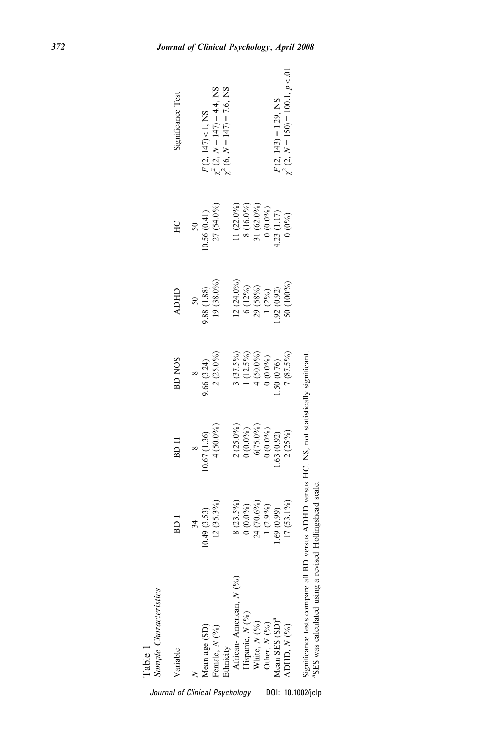|                                | Sample Characteristics<br>Table                                                                                                                       |                          |             |                         |              |              |                                            |
|--------------------------------|-------------------------------------------------------------------------------------------------------------------------------------------------------|--------------------------|-------------|-------------------------|--------------|--------------|--------------------------------------------|
| Journal of Clinical Psychology | ariable                                                                                                                                               | $\overline{\Omega}$<br>∞ | BD II       | <b>BD NOS</b>           | <b>ADHD</b>  | $\Xi$        | Significance Test                          |
|                                |                                                                                                                                                       | 34                       |             |                         |              |              |                                            |
|                                | Mean age (SD)                                                                                                                                         | (3.53)<br>10.49          | (0.67(1.36) | 9.66 (3.24)             | 9.88 (1.88)  | (0.56(0.41)) | $F(2, 147) < 1$ , NS                       |
|                                | Female, N (%)                                                                                                                                         | $(35.3\%)$               | $4(50.0\%)$ | $2(25.0\%)$             | $19(38.0\%)$ | 27 (54.0%)   | $\chi^2$ (2, $N = 147$ ) = 4.4, NS         |
|                                | thnicity                                                                                                                                              |                          |             |                         |              |              | $\chi^2$ (6, $N = 147$ ) = 7.6, NS         |
|                                | African-American, N (%)                                                                                                                               | $(23.5\%)$               | $2(25.0\%)$ |                         | $12(24.0\%)$ | $11(22.0\%)$ |                                            |
|                                |                                                                                                                                                       | $(0.0\%)$                | $(0.0\%)$   | $3(37.5\%)$<br>1(12.5%) | 6(12%)       | $8(16.0\%)$  |                                            |
|                                | Hispanic, $N$ (%)<br>White, $N$ (%)                                                                                                                   | (70.6%)                  | $6(75.0\%)$ | $4(50.0\%)$             | 29 (58%)     | $31(62.0\%)$ |                                            |
|                                | Other, $N$ (%)                                                                                                                                        | (2.9%)                   | $(0.0\%)$   | $(0.0\%)$               | $1(2\%)$     | $(0.0\%)$    |                                            |
| DOI:                           | Mean SES (SD) <sup>a</sup>                                                                                                                            | (0.99)                   | 1.63(0.92)  | .50 (0.76)              | .92(0.92)    | 4.23 (1.17)  | $F$ (2, 143) = 1.29, NS                    |
|                                | DHD, N (%)                                                                                                                                            | $(53.1\%)$               | 2(25%)      | $7(87.5\%)$             | 50 (100%)    | (0.60)       | $\chi^2$ (2, $N = 150$ ) = 100.1, $p < 01$ |
| 10.1002/jclp                   | significance tests compare all BD versus ADHD versus HC. NS, not statistically significant.<br>SES was calculated using a revised Hollingshead scale. |                          |             |                         |              |              |                                            |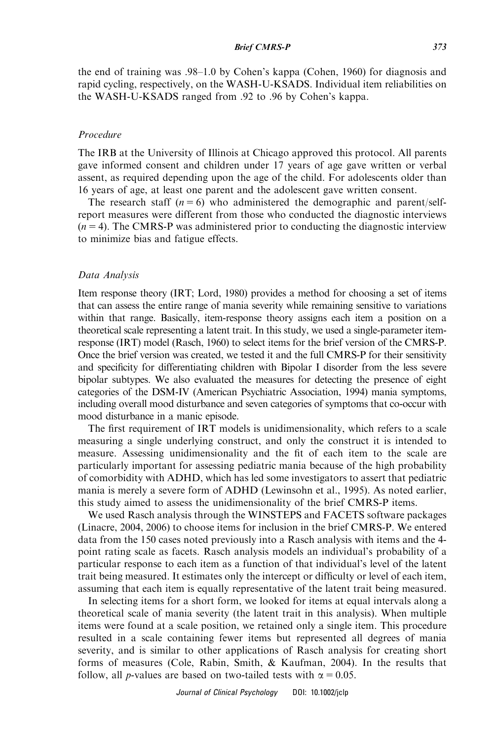## Brief CMRS-P 373

the end of training was .98–1.0 by Cohen's kappa (Cohen, 1960) for diagnosis and rapid cycling, respectively, on the WASH-U-KSADS. Individual item reliabilities on the WASH-U-KSADS ranged from .92 to .96 by Cohen's kappa.

# Procedure

The IRB at the University of Illinois at Chicago approved this protocol. All parents gave informed consent and children under 17 years of age gave written or verbal assent, as required depending upon the age of the child. For adolescents older than 16 years of age, at least one parent and the adolescent gave written consent.

The research staff ( $n = 6$ ) who administered the demographic and parent/selfreport measures were different from those who conducted the diagnostic interviews  $(n = 4)$ . The CMRS-P was administered prior to conducting the diagnostic interview to minimize bias and fatigue effects.

## Data Analysis

Item response theory (IRT; Lord, 1980) provides a method for choosing a set of items that can assess the entire range of mania severity while remaining sensitive to variations within that range. Basically, item-response theory assigns each item a position on a theoretical scale representing a latent trait. In this study, we used a single-parameter itemresponse (IRT) model (Rasch, 1960) to select items for the brief version of the CMRS-P. Once the brief version was created, we tested it and the full CMRS-P for their sensitivity and specificity for differentiating children with Bipolar I disorder from the less severe bipolar subtypes. We also evaluated the measures for detecting the presence of eight categories of the DSM-IV (American Psychiatric Association, 1994) mania symptoms, including overall mood disturbance and seven categories of symptoms that co-occur with mood disturbance in a manic episode.

The first requirement of IRT models is unidimensionality, which refers to a scale measuring a single underlying construct, and only the construct it is intended to measure. Assessing unidimensionality and the fit of each item to the scale are particularly important for assessing pediatric mania because of the high probability of comorbidity with ADHD, which has led some investigators to assert that pediatric mania is merely a severe form of ADHD (Lewinsohn et al., 1995). As noted earlier, this study aimed to assess the unidimensionality of the brief CMRS-P items.

We used Rasch analysis through the WINSTEPS and FACETS software packages (Linacre, 2004, 2006) to choose items for inclusion in the brief CMRS-P. We entered data from the 150 cases noted previously into a Rasch analysis with items and the 4 point rating scale as facets. Rasch analysis models an individual's probability of a particular response to each item as a function of that individual's level of the latent trait being measured. It estimates only the intercept or difficulty or level of each item, assuming that each item is equally representative of the latent trait being measured.

In selecting items for a short form, we looked for items at equal intervals along a theoretical scale of mania severity (the latent trait in this analysis). When multiple items were found at a scale position, we retained only a single item. This procedure resulted in a scale containing fewer items but represented all degrees of mania severity, and is similar to other applications of Rasch analysis for creating short forms of measures (Cole, Rabin, Smith, & Kaufman, 2004). In the results that follow, all *p*-values are based on two-tailed tests with  $\alpha = 0.05$ .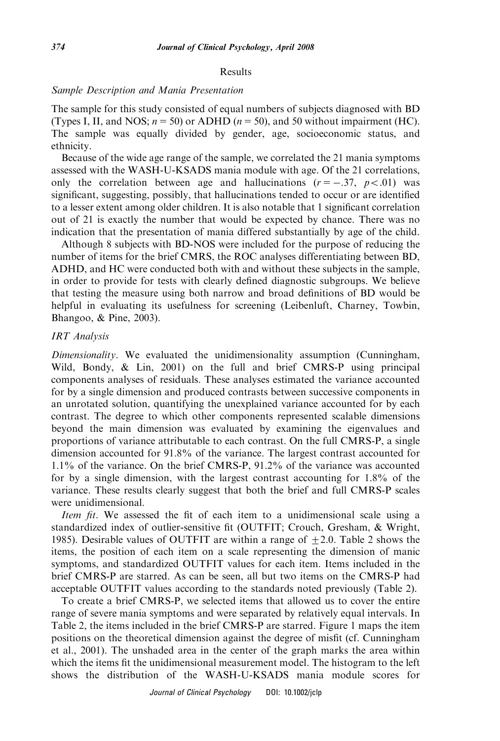## Results

# Sample Description and Mania Presentation

The sample for this study consisted of equal numbers of subjects diagnosed with BD (Types I, II, and NOS;  $n = 50$ ) or ADHD ( $n = 50$ ), and 50 without impairment (HC). The sample was equally divided by gender, age, socioeconomic status, and ethnicity.

Because of the wide age range of the sample, we correlated the 21 mania symptoms assessed with the WASH-U-KSADS mania module with age. Of the 21 correlations, only the correlation between age and hallucinations  $(r = -.37, p < .01)$  was significant, suggesting, possibly, that hallucinations tended to occur or are identified to a lesser extent among older children. It is also notable that 1 significant correlation out of 21 is exactly the number that would be expected by chance. There was no indication that the presentation of mania differed substantially by age of the child.

Although 8 subjects with BD-NOS were included for the purpose of reducing the number of items for the brief CMRS, the ROC analyses differentiating between BD, ADHD, and HC were conducted both with and without these subjects in the sample, in order to provide for tests with clearly defined diagnostic subgroups. We believe that testing the measure using both narrow and broad definitions of BD would be helpful in evaluating its usefulness for screening (Leibenluft, Charney, Towbin, Bhangoo, & Pine, 2003).

# IRT Analysis

 $Dimensionality$ . We evaluated the unidimensionality assumption (Cunningham, Wild, Bondy, & Lin, 2001) on the full and brief CMRS-P using principal components analyses of residuals. These analyses estimated the variance accounted for by a single dimension and produced contrasts between successive components in an unrotated solution, quantifying the unexplained variance accounted for by each contrast. The degree to which other components represented scalable dimensions beyond the main dimension was evaluated by examining the eigenvalues and proportions of variance attributable to each contrast. On the full CMRS-P, a single dimension accounted for 91.8% of the variance. The largest contrast accounted for 1.1% of the variance. On the brief CMRS-P, 91.2% of the variance was accounted for by a single dimension, with the largest contrast accounting for 1.8% of the variance. These results clearly suggest that both the brief and full CMRS-P scales were unidimensional.

Item fit. We assessed the fit of each item to a unidimensional scale using a standardized index of outlier-sensitive fit (OUTFIT; Crouch, Gresham, & Wright, 1985). Desirable values of OUTFIT are within a range of  $+2.0$ . Table 2 shows the items, the position of each item on a scale representing the dimension of manic symptoms, and standardized OUTFIT values for each item. Items included in the brief CMRS-P are starred. As can be seen, all but two items on the CMRS-P had acceptable OUTFIT values according to the standards noted previously (Table 2).

To create a brief CMRS-P, we selected items that allowed us to cover the entire range of severe mania symptoms and were separated by relatively equal intervals. In Table 2, the items included in the brief CMRS-P are starred. Figure 1 maps the item positions on the theoretical dimension against the degree of misfit (cf. Cunningham et al., 2001). The unshaded area in the center of the graph marks the area within which the items fit the unidimensional measurement model. The histogram to the left shows the distribution of the WASH-U-KSADS mania module scores for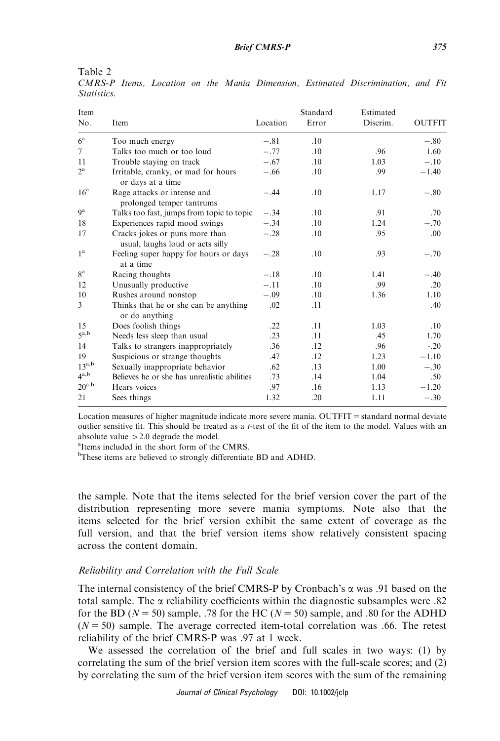Table 2

| <i>Statistics.</i> |                                                                    |          |                   |                       |               |
|--------------------|--------------------------------------------------------------------|----------|-------------------|-----------------------|---------------|
| Item<br>No.        | Item                                                               | Location | Standard<br>Error | Estimated<br>Discrim. | <b>OUTFIT</b> |
| 6 <sup>a</sup>     | Too much energy                                                    | $-.81$   | .10               |                       | $-.80$        |
| 7                  | Talks too much or too loud                                         | $-.77$   | .10               | .96                   | 1.60          |
| 11                 | Trouble staying on track                                           | $-.67$   | .10               | 1.03                  | $-.10$        |
| $2^{\mathrm{a}}$   | Irritable, cranky, or mad for hours<br>or days at a time           | $-.66$   | .10               | .99                   | $-1.40$       |
| 16 <sup>a</sup>    | Rage attacks or intense and<br>prolonged temper tantrums           | $-.44$   | .10               | 1.17                  | $-.80$        |
| q <sup>a</sup>     | Talks too fast, jumps from topic to topic                          | $-.34$   | .10               | .91                   | .70           |
| 18                 | Experiences rapid mood swings                                      | $-.34$   | .10               | 1.24                  | $-.70$        |
| 17                 | Cracks jokes or puns more than<br>usual, laughs loud or acts silly | $-.28$   | .10               | .95                   | .00           |
| 1 <sup>a</sup>     | Feeling super happy for hours or days<br>at a time                 | $-.28$   | .10               | .93                   | $-.70$        |
| 8 <sup>a</sup>     | Racing thoughts                                                    | $-.18$   | .10               | 1.41                  | $-.40$        |
| 12                 | Unusually productive                                               | $-.11$   | .10               | .99                   | .20           |
| 10                 | Rushes around nonstop                                              | $-.09$   | .10               | 1.36                  | 1.10          |
| 3                  | Thinks that he or she can be anything<br>or do anything            | .02      | .11               |                       | .40           |
| 15                 | Does foolish things                                                | .22      | .11               | 1.03                  | .10           |
| $5^{a,b}$          | Needs less sleep than usual                                        | .23      | .11               | .45                   | 1.70          |
| 14                 | Talks to strangers inappropriately                                 | .36      | .12               | .96                   | $-.20$        |
| 19                 | Suspicious or strange thoughts                                     | .47      | .12               | 1.23                  | $-1.10$       |
| $13^{a,b}$         | Sexually inappropriate behavior                                    | .62      | .13               | 1.00                  | $-.30$        |
| $4^{a,b}$          | Believes he or she has unrealistic abilities                       | .73      | .14               | 1.04                  | .50           |
| $20^{a,b}$         | Hears voices                                                       | .97      | .16               | 1.13                  | $-1.20$       |

CMRS-P Items, Location on the Mania Dimension, Estimated Discrimination, and Fit Statistics.

Location measures of higher magnitude indicate more severe mania. OUTFIT = standard normal deviate outlier sensitive fit. This should be treated as a t-test of the fit of the item to the model. Values with an absolute value  $>2.0$  degrade the model.

21 Sees things 1.32 .20 1.11  $-.30$ 

a Items included in the short form of the CMRS.

<sup>b</sup>These items are believed to strongly differentiate BD and ADHD.

the sample. Note that the items selected for the brief version cover the part of the distribution representing more severe mania symptoms. Note also that the items selected for the brief version exhibit the same extent of coverage as the full version, and that the brief version items show relatively consistent spacing across the content domain.

# Reliability and Correlation with the Full Scale

The internal consistency of the brief CMRS-P by Cronbach's  $\alpha$  was .91 based on the total sample. The  $\alpha$  reliability coefficients within the diagnostic subsamples were .82 for the BD ( $N = 50$ ) sample, .78 for the HC ( $N = 50$ ) sample, and .80 for the ADHD  $(N = 50)$  sample. The average corrected item-total correlation was .66. The retest reliability of the brief CMRS-P was .97 at 1 week.

We assessed the correlation of the brief and full scales in two ways: (1) by correlating the sum of the brief version item scores with the full-scale scores; and (2) by correlating the sum of the brief version item scores with the sum of the remaining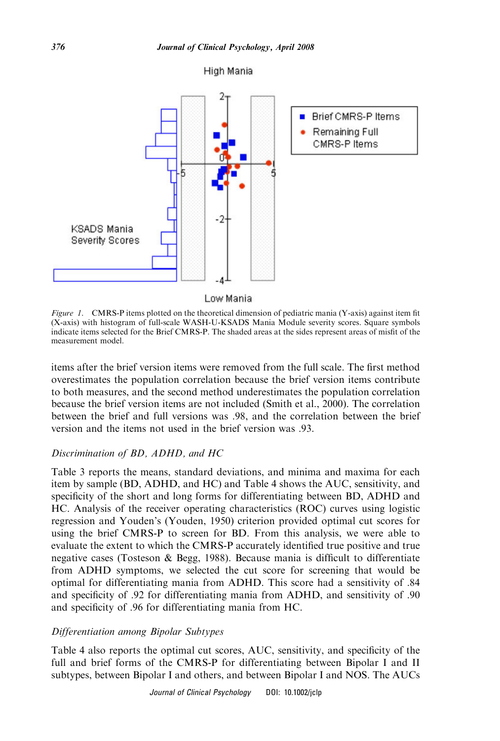

## Low Mania

Figure 1. CMRS-P items plotted on the theoretical dimension of pediatric mania (Y-axis) against item fit (X-axis) with histogram of full-scale WASH-U-KSADS Mania Module severity scores. Square symbols indicate items selected for the Brief CMRS-P. The shaded areas at the sides represent areas of misfit of the measurement model.

items after the brief version items were removed from the full scale. The first method overestimates the population correlation because the brief version items contribute to both measures, and the second method underestimates the population correlation because the brief version items are not included (Smith et al., 2000). The correlation between the brief and full versions was .98, and the correlation between the brief version and the items not used in the brief version was .93.

# Discrimination of BD, ADHD, and HC

Table 3 reports the means, standard deviations, and minima and maxima for each item by sample (BD, ADHD, and HC) and Table 4 shows the AUC, sensitivity, and specificity of the short and long forms for differentiating between BD, ADHD and HC. Analysis of the receiver operating characteristics (ROC) curves using logistic regression and Youden's (Youden, 1950) criterion provided optimal cut scores for using the brief CMRS-P to screen for BD. From this analysis, we were able to evaluate the extent to which the CMRS-P accurately identified true positive and true negative cases (Tosteson & Begg, 1988). Because mania is difficult to differentiate from ADHD symptoms, we selected the cut score for screening that would be optimal for differentiating mania from ADHD. This score had a sensitivity of .84 and specificity of .92 for differentiating mania from ADHD, and sensitivity of .90 and specificity of .96 for differentiating mania from HC.

# Differentiation among Bipolar Subtypes

Table 4 also reports the optimal cut scores, AUC, sensitivity, and specificity of the full and brief forms of the CMRS-P for differentiating between Bipolar I and II subtypes, between Bipolar I and others, and between Bipolar I and NOS. The AUCs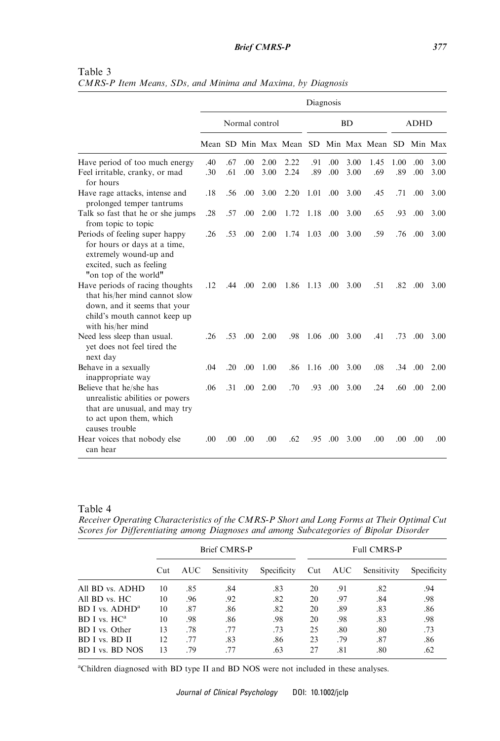|                                                                                                                                                       |            |            |            |                |                      |            | Diagnosis   |              |                 |             |             |              |
|-------------------------------------------------------------------------------------------------------------------------------------------------------|------------|------------|------------|----------------|----------------------|------------|-------------|--------------|-----------------|-------------|-------------|--------------|
|                                                                                                                                                       |            |            |            | Normal control |                      |            |             | <b>BD</b>    |                 |             | <b>ADHD</b> |              |
|                                                                                                                                                       |            |            |            |                | Mean SD Min Max Mean | <b>SD</b>  |             |              | Min Max Mean SD |             |             | Min Max      |
| Have period of too much energy<br>Feel irritable, cranky, or mad<br>for hours                                                                         | .40<br>.30 | .67<br>.61 | .00<br>.00 | 2.00<br>3.00   | 2.22<br>2.24         | .91<br>.89 | .00.<br>.00 | 3.00<br>3.00 | 1.45<br>.69     | 1.00<br>.89 | .00<br>.00  | 3.00<br>3.00 |
| Have rage attacks, intense and<br>prolonged temper tantrums                                                                                           | .18        | .56        | .00        | 3.00           | 2.20                 | 1.01       | .00         | 3.00         | .45             | .71         | .00         | 3.00         |
| Talk so fast that he or she jumps<br>from topic to topic                                                                                              | .28        | .57        | .00        | 2.00           | 1.72                 | 1.18       | .00         | 3.00         | .65             | .93         | .00         | 3.00         |
| Periods of feeling super happy<br>for hours or days at a time,<br>extremely wound-up and<br>excited, such as feeling<br>"on top of the world"         | .26        | .53        | .00        | 2.00           | 1.74                 | 1.03       | .00         | 3.00         | .59             | .76         | .00         | 3.00         |
| Have periods of racing thoughts<br>that his/her mind cannot slow<br>down, and it seems that your<br>child's mouth cannot keep up<br>with his/her mind | .12        | .44        | .00        | 2.00           | 1.86                 | 1.13       | .00         | 3.00         | .51             | .82         | .00         | 3.00         |
| Need less sleep than usual.<br>yet does not feel tired the<br>next day                                                                                | .26        | .53        | .00        | 2.00           | .98                  | 1.06       | .00         | 3.00         | .41             | .73         | .00.        | 3.00         |
| Behave in a sexually<br>inappropriate way                                                                                                             | .04        | .20        | .00        | 1.00           | .86                  | 1.16       | .00         | 3.00         | .08             | .34         | .00         | 2.00         |
| Believe that he/she has<br>unrealistic abilities or powers<br>that are unusual, and may try<br>to act upon them, which<br>causes trouble              | .06        | .31        | .00.       | 2.00           | .70                  | .93        | .00         | 3.00         | .24             | .60         | .00         | 2.00         |
| Hear voices that nobody else<br>can hear                                                                                                              | .00.       | .00        | .00        | .00.           | .62                  | .95        | .00.        | 3.00         | .00             | .00         | .00         | .00.         |

Table 3 CMRS-P Item Means, SDs, and Minima and Maxima, by Diagnosis

Table 4

Receiver Operating Characteristics of the CMRS-P Short and Long Forms at Their Optimal Cut Scores for Differentiating among Diagnoses and among Subcategories of Bipolar Disorder

|                               |     |     | <b>Brief CMRS-P</b> |             | <b>Full CMRS-P</b> |     |             |             |  |  |
|-------------------------------|-----|-----|---------------------|-------------|--------------------|-----|-------------|-------------|--|--|
|                               | Cut | AUC | Sensitivity         | Specificity | Cut                | AUC | Sensitivity | Specificity |  |  |
| All BD vs. ADHD               | 10  | .85 | .84                 | .83         | 20                 | .91 | .82         | .94         |  |  |
| All BD vs. HC                 | 10  | .96 | .92                 | .82         | 20                 | .97 | .84         | .98         |  |  |
| $BDI$ vs. $ADHDa$             | 10  | .87 | .86                 | .82         | 20                 | .89 | .83         | .86         |  |  |
| BD I vs. HC <sup>a</sup>      | 10  | .98 | .86                 | .98         | 20                 | .98 | .83         | .98         |  |  |
| BD I vs. Other                | 13  | .78 | .77                 | .73         | 25                 | .80 | .80         | .73         |  |  |
| BD I vs. BD II                | 12  | .77 | .83                 | .86         | 23                 | .79 | .87         | .86         |  |  |
| <b>BD</b> I vs. <b>BD</b> NOS | 13  | .79 | 77                  | .63         | 27                 | .81 | .80         | .62         |  |  |

<sup>a</sup>Children diagnosed with BD type II and BD NOS were not included in these analyses.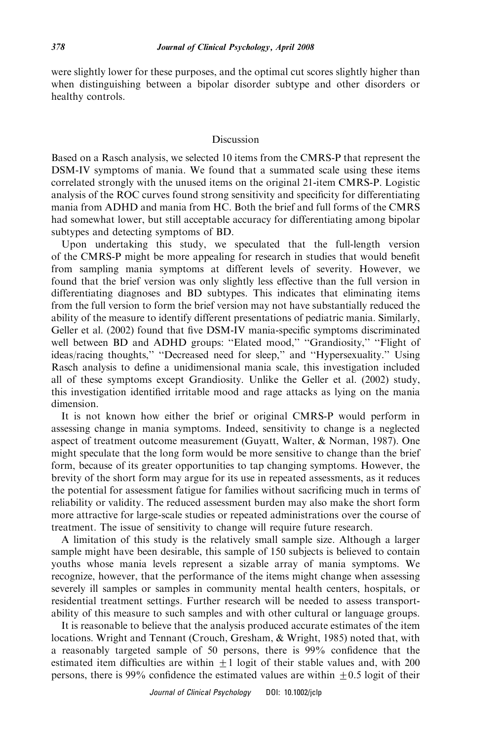were slightly lower for these purposes, and the optimal cut scores slightly higher than when distinguishing between a bipolar disorder subtype and other disorders or healthy controls.

# Discussion

Based on a Rasch analysis, we selected 10 items from the CMRS-P that represent the DSM-IV symptoms of mania. We found that a summated scale using these items correlated strongly with the unused items on the original 21-item CMRS-P. Logistic analysis of the ROC curves found strong sensitivity and specificity for differentiating mania from ADHD and mania from HC. Both the brief and full forms of the CMRS had somewhat lower, but still acceptable accuracy for differentiating among bipolar subtypes and detecting symptoms of BD.

Upon undertaking this study, we speculated that the full-length version of the CMRS-P might be more appealing for research in studies that would benefit from sampling mania symptoms at different levels of severity. However, we found that the brief version was only slightly less effective than the full version in differentiating diagnoses and BD subtypes. This indicates that eliminating items from the full version to form the brief version may not have substantially reduced the ability of the measure to identify different presentations of pediatric mania. Similarly, Geller et al. (2002) found that five DSM-IV mania-specific symptoms discriminated well between BD and ADHD groups: "Elated mood," "Grandiosity," "Flight of ideas/racing thoughts," "Decreased need for sleep," and "Hypersexuality." Using Rasch analysis to define a unidimensional mania scale, this investigation included all of these symptoms except Grandiosity. Unlike the Geller et al. (2002) study, this investigation identified irritable mood and rage attacks as lying on the mania dimension.

It is not known how either the brief or original CMRS-P would perform in assessing change in mania symptoms. Indeed, sensitivity to change is a neglected aspect of treatment outcome measurement (Guyatt, Walter, & Norman, 1987). One might speculate that the long form would be more sensitive to change than the brief form, because of its greater opportunities to tap changing symptoms. However, the brevity of the short form may argue for its use in repeated assessments, as it reduces the potential for assessment fatigue for families without sacrificing much in terms of reliability or validity. The reduced assessment burden may also make the short form more attractive for large-scale studies or repeated administrations over the course of treatment. The issue of sensitivity to change will require future research.

A limitation of this study is the relatively small sample size. Although a larger sample might have been desirable, this sample of 150 subjects is believed to contain youths whose mania levels represent a sizable array of mania symptoms. We recognize, however, that the performance of the items might change when assessing severely ill samples or samples in community mental health centers, hospitals, or residential treatment settings. Further research will be needed to assess transportability of this measure to such samples and with other cultural or language groups.

It is reasonable to believe that the analysis produced accurate estimates of the item locations. Wright and Tennant (Crouch, Gresham, & Wright, 1985) noted that, with a reasonably targeted sample of 50 persons, there is 99% confidence that the estimated item difficulties are within  $+1$  logit of their stable values and, with 200 persons, there is 99% confidence the estimated values are within  $\pm 0.5$  logit of their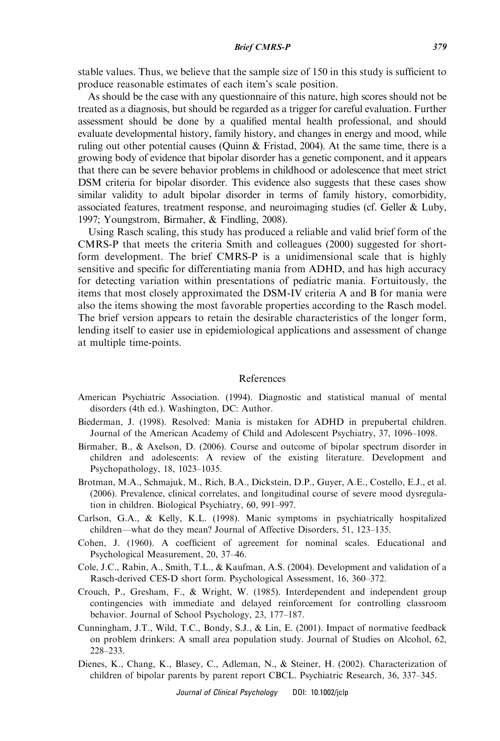#### Brief CMRS-P 379

stable values. Thus, we believe that the sample size of 150 in this study is sufficient to produce reasonable estimates of each item's scale position.

As should be the case with any questionnaire of this nature, high scores should not be treated as a diagnosis, but should be regarded as a trigger for careful evaluation. Further assessment should be done by a qualified mental health professional, and should evaluate developmental history, family history, and changes in energy and mood, while ruling out other potential causes (Quinn  $\&$  Fristad, 2004). At the same time, there is a growing body of evidence that bipolar disorder has a genetic component, and it appears that there can be severe behavior problems in childhood or adolescence that meet strict DSM criteria for bipolar disorder. This evidence also suggests that these cases show similar validity to adult bipolar disorder in terms of family history, comorbidity, associated features, treatment response, and neuroimaging studies (cf. Geller & Luby, 1997; Youngstrom, Birmaher, & Findling, 2008).

Using Rasch scaling, this study has produced a reliable and valid brief form of the CMRS-P that meets the criteria Smith and colleagues (2000) suggested for shortform development. The brief CMRS-P is a unidimensional scale that is highly sensitive and specific for differentiating mania from ADHD, and has high accuracy for detecting variation within presentations of pediatric mania. Fortuitously, the items that most closely approximated the DSM-IV criteria A and B for mania were also the items showing the most favorable properties according to the Rasch model. The brief version appears to retain the desirable characteristics of the longer form, lending itself to easier use in epidemiological applications and assessment of change at multiple time-points.

## References

- American Psychiatric Association. (1994). Diagnostic and statistical manual of mental disorders (4th ed.). Washington, DC: Author.
- Biederman, J. (1998). Resolved: Mania is mistaken for ADHD in prepubertal children. Journal of the American Academy of Child and Adolescent Psychiatry, 37, 1096–1098.
- Birmaher, B., & Axelson, D. (2006). Course and outcome of bipolar spectrum disorder in children and adolescents: A review of the existing literature. Development and Psychopathology, 18, 1023–1035.
- Brotman, M.A., Schmajuk, M., Rich, B.A., Dickstein, D.P., Guyer, A.E., Costello, E.J., et al. (2006). Prevalence, clinical correlates, and longitudinal course of severe mood dysregulation in children. Biological Psychiatry, 60, 991–997.
- Carlson, G.A., & Kelly, K.L. (1998). Manic symptoms in psychiatrically hospitalized children—what do they mean? Journal of Affective Disorders, 51, 123–135.
- Cohen, J. (1960). A coefficient of agreement for nominal scales. Educational and Psychological Measurement, 20, 37–46.
- Cole, J.C., Rabin, A., Smith, T.L., & Kaufman, A.S. (2004). Development and validation of a Rasch-derived CES-D short form. Psychological Assessment, 16, 360–372.
- Crouch, P., Gresham, F., & Wright, W. (1985). Interdependent and independent group contingencies with immediate and delayed reinforcement for controlling classroom behavior. Journal of School Psychology, 23, 177–187.
- Cunningham, J.T., Wild, T.C., Bondy, S.J., & Lin, E. (2001). Impact of normative feedback on problem drinkers: A small area population study. Journal of Studies on Alcohol, 62, 228–233.
- Dienes, K., Chang, K., Blasey, C., Adleman, N., & Steiner, H. (2002). Characterization of children of bipolar parents by parent report CBCL. Psychiatric Research, 36, 337–345.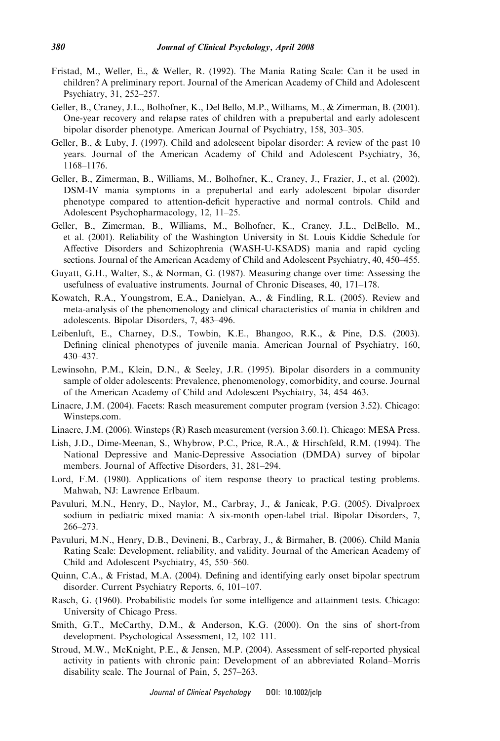- Fristad, M., Weller, E., & Weller, R. (1992). The Mania Rating Scale: Can it be used in children? A preliminary report. Journal of the American Academy of Child and Adolescent Psychiatry, 31, 252–257.
- Geller, B., Craney, J.L., Bolhofner, K., Del Bello, M.P., Williams, M., & Zimerman, B. (2001). One-year recovery and relapse rates of children with a prepubertal and early adolescent bipolar disorder phenotype. American Journal of Psychiatry, 158, 303–305.
- Geller, B., & Luby, J. (1997). Child and adolescent bipolar disorder: A review of the past 10 years. Journal of the American Academy of Child and Adolescent Psychiatry, 36, 1168–1176.
- Geller, B., Zimerman, B., Williams, M., Bolhofner, K., Craney, J., Frazier, J., et al. (2002). DSM-IV mania symptoms in a prepubertal and early adolescent bipolar disorder phenotype compared to attention-deficit hyperactive and normal controls. Child and Adolescent Psychopharmacology, 12, 11–25.
- Geller, B., Zimerman, B., Williams, M., Bolhofner, K., Craney, J.L., DelBello, M., et al. (2001). Reliability of the Washington University in St. Louis Kiddie Schedule for Affective Disorders and Schizophrenia (WASH-U-KSADS) mania and rapid cycling sections. Journal of the American Academy of Child and Adolescent Psychiatry, 40, 450–455.
- Guyatt, G.H., Walter, S., & Norman, G. (1987). Measuring change over time: Assessing the usefulness of evaluative instruments. Journal of Chronic Diseases, 40, 171–178.
- Kowatch, R.A., Youngstrom, E.A., Danielyan, A., & Findling, R.L. (2005). Review and meta-analysis of the phenomenology and clinical characteristics of mania in children and adolescents. Bipolar Disorders, 7, 483–496.
- Leibenluft, E., Charney, D.S., Towbin, K.E., Bhangoo, R.K., & Pine, D.S. (2003). Defining clinical phenotypes of juvenile mania. American Journal of Psychiatry, 160, 430–437.
- Lewinsohn, P.M., Klein, D.N., & Seeley, J.R. (1995). Bipolar disorders in a community sample of older adolescents: Prevalence, phenomenology, comorbidity, and course. Journal of the American Academy of Child and Adolescent Psychiatry, 34, 454–463.
- Linacre, J.M. (2004). Facets: Rasch measurement computer program (version 3.52). Chicago: Winsteps.com.
- Linacre, J.M. (2006). Winsteps (R) Rasch measurement (version 3.60.1). Chicago: MESA Press.
- Lish, J.D., Dime-Meenan, S., Whybrow, P.C., Price, R.A., & Hirschfeld, R.M. (1994). The National Depressive and Manic-Depressive Association (DMDA) survey of bipolar members. Journal of Affective Disorders, 31, 281–294.
- Lord, F.M. (1980). Applications of item response theory to practical testing problems. Mahwah, NJ: Lawrence Erlbaum.
- Pavuluri, M.N., Henry, D., Naylor, M., Carbray, J., & Janicak, P.G. (2005). Divalproex sodium in pediatric mixed mania: A six-month open-label trial. Bipolar Disorders, 7, 266–273.
- Pavuluri, M.N., Henry, D.B., Devineni, B., Carbray, J., & Birmaher, B. (2006). Child Mania Rating Scale: Development, reliability, and validity. Journal of the American Academy of Child and Adolescent Psychiatry, 45, 550–560.
- Quinn, C.A., & Fristad, M.A. (2004). Defining and identifying early onset bipolar spectrum disorder. Current Psychiatry Reports, 6, 101–107.
- Rasch, G. (1960). Probabilistic models for some intelligence and attainment tests. Chicago: University of Chicago Press.
- Smith, G.T., McCarthy, D.M., & Anderson, K.G. (2000). On the sins of short-from development. Psychological Assessment, 12, 102–111.
- Stroud, M.W., McKnight, P.E., & Jensen, M.P. (2004). Assessment of self-reported physical activity in patients with chronic pain: Development of an abbreviated Roland–Morris disability scale. The Journal of Pain, 5, 257–263.